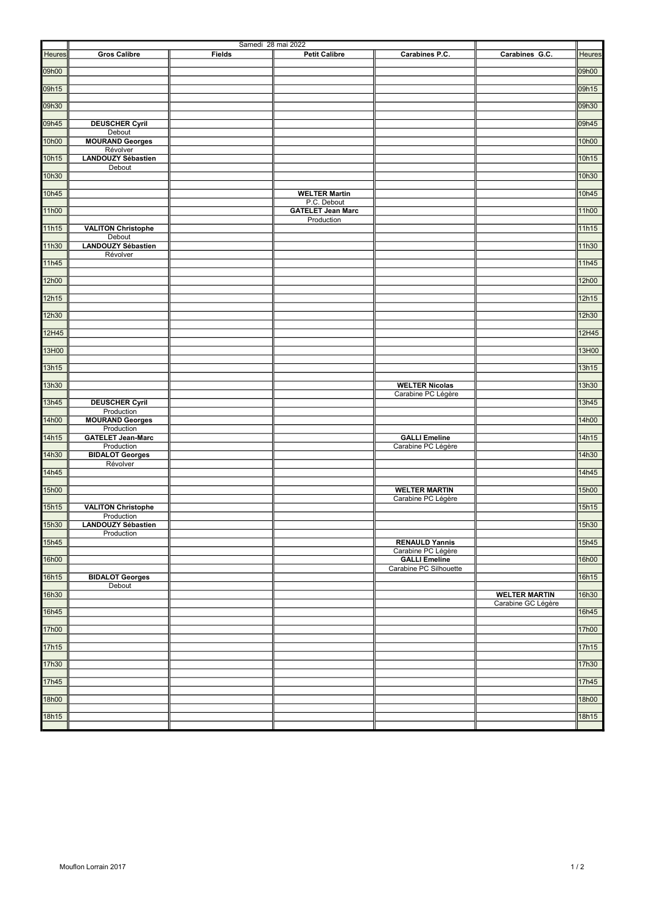|        |                                         | Samedi 28 mai 2022 |                                         |                                                |                      |        |
|--------|-----------------------------------------|--------------------|-----------------------------------------|------------------------------------------------|----------------------|--------|
| Heures | <b>Gros Calibre</b>                     | <b>Fields</b>      | <b>Petit Calibre</b>                    | Carabines P.C.                                 | Carabines G.C.       | Heures |
| 09h00  |                                         |                    |                                         |                                                |                      | 09h00  |
| 09h15  |                                         |                    |                                         |                                                |                      | 09h15  |
| 09h30  |                                         |                    |                                         |                                                |                      | 09h30  |
| 09h45  | <b>DEUSCHER Cyril</b>                   |                    |                                         |                                                |                      | 09h45  |
|        | Debout                                  |                    |                                         |                                                |                      |        |
| 10h00  | <b>MOURAND Georges</b><br>Révolver      |                    |                                         |                                                |                      | 10h00  |
| 10h15  | <b>LANDOUZY Sébastien</b><br>Debout     |                    |                                         |                                                |                      | 10h15  |
| 10h30  |                                         |                    |                                         |                                                |                      | 10h30  |
| 10h45  |                                         |                    | <b>WELTER Martin</b>                    |                                                |                      | 10h45  |
| 11h00  |                                         |                    | P.C. Debout<br><b>GATELET Jean Marc</b> |                                                |                      | 11h00  |
| 11h15  | <b>VALITON Christophe</b>               |                    | Production                              |                                                |                      | 11h15  |
| 11h30  | Debout<br><b>LANDOUZY Sébastien</b>     |                    |                                         |                                                |                      | 11h30  |
|        | Révolver                                |                    |                                         |                                                |                      |        |
| 11h45  |                                         |                    |                                         |                                                |                      | 11h45  |
| 12h00  |                                         |                    |                                         |                                                |                      | 12h00  |
| 12h15  |                                         |                    |                                         |                                                |                      | 12h15  |
| 12h30  |                                         |                    |                                         |                                                |                      | 12h30  |
| 12H45  |                                         |                    |                                         |                                                |                      | 12H45  |
| 13H00  |                                         |                    |                                         |                                                |                      | 13H00  |
| 13h15  |                                         |                    |                                         |                                                |                      | 13h15  |
| 13h30  |                                         |                    |                                         | <b>WELTER Nicolas</b>                          |                      | 13h30  |
|        |                                         |                    |                                         | Carabine PC Légère                             |                      |        |
| 13h45  | <b>DEUSCHER Cyril</b><br>Production     |                    |                                         |                                                |                      | 13h45  |
| 14h00  | <b>MOURAND Georges</b><br>Production    |                    |                                         |                                                |                      | 14h00  |
| 14h15  | <b>GATELET Jean-Marc</b><br>Production  |                    |                                         | <b>GALLI Emeline</b><br>Carabine PC Légère     |                      | 14h15  |
| 14h30  | <b>BIDALOT Georges</b>                  |                    |                                         |                                                |                      | 14h30  |
| 14h45  | Révolver                                |                    |                                         |                                                |                      | 14h45  |
| 15h00  |                                         |                    |                                         | <b>WELTER MARTIN</b>                           |                      | 15h00  |
| 15h15  | <b>VALITON Christophe</b>               |                    |                                         | Carabine PC Légère                             |                      | 15h15  |
| 15h30  | Production<br><b>LANDOUZY Sébastien</b> |                    |                                         |                                                |                      | 15h30  |
|        | Production                              |                    |                                         |                                                |                      |        |
| 15h45  |                                         |                    |                                         | <b>RENAULD Yannis</b><br>Carabine PC Légère    |                      | 15h45  |
| 16h00  |                                         |                    |                                         | <b>GALLI Emeline</b><br>Carabine PC Silhouette |                      | 16h00  |
| 16h15  | <b>BIDALOT Georges</b><br>Debout        |                    |                                         |                                                |                      | 16h15  |
| 16h30  |                                         |                    |                                         |                                                | <b>WELTER MARTIN</b> | 16h30  |
| 16h45  |                                         |                    |                                         |                                                | Carabine GC Légère   | 16h45  |
| 17h00  |                                         |                    |                                         |                                                |                      | 17h00  |
| 17h15  |                                         |                    |                                         |                                                |                      | 17h15  |
| 17h30  |                                         |                    |                                         |                                                |                      | 17h30  |
|        |                                         |                    |                                         |                                                |                      |        |
| 17h45  |                                         |                    |                                         |                                                |                      | 17h45  |
| 18h00  |                                         |                    |                                         |                                                |                      | 18h00  |
| 18h15  |                                         |                    |                                         |                                                |                      | 18h15  |
|        |                                         |                    |                                         |                                                |                      |        |